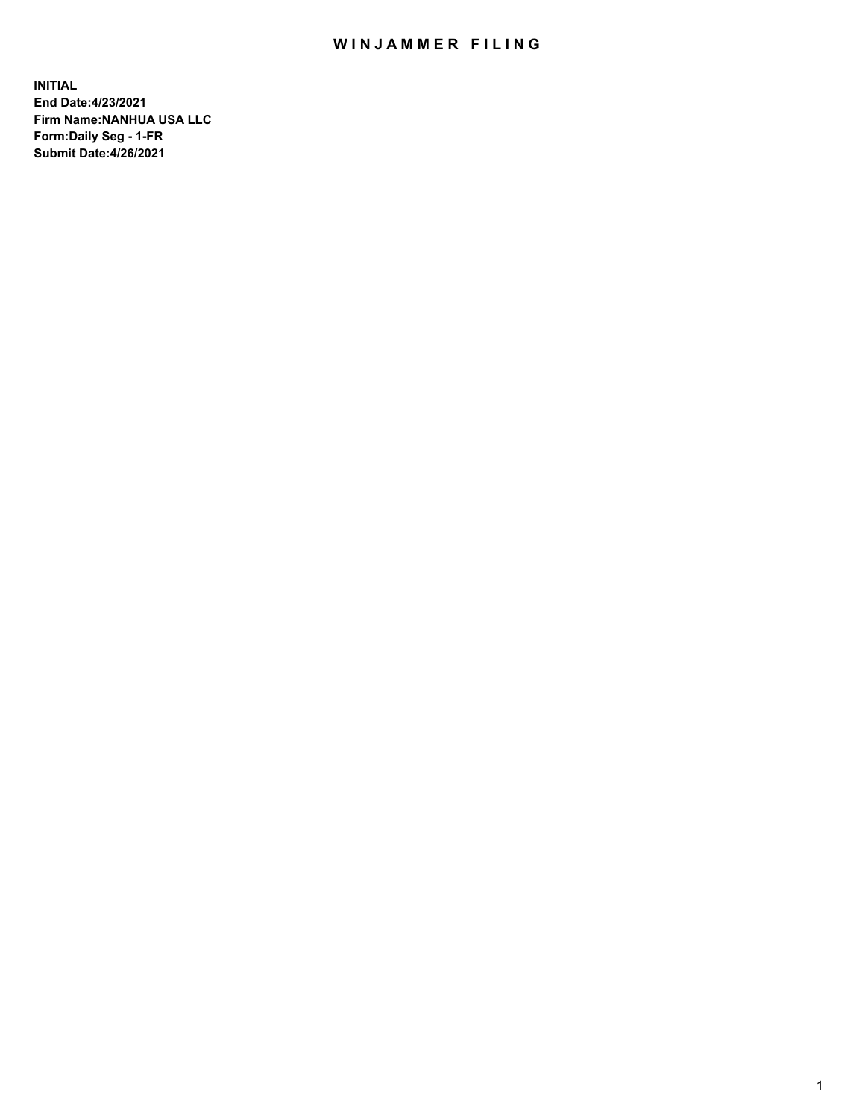## WIN JAMMER FILING

**INITIAL End Date:4/23/2021 Firm Name:NANHUA USA LLC Form:Daily Seg - 1-FR Submit Date:4/26/2021**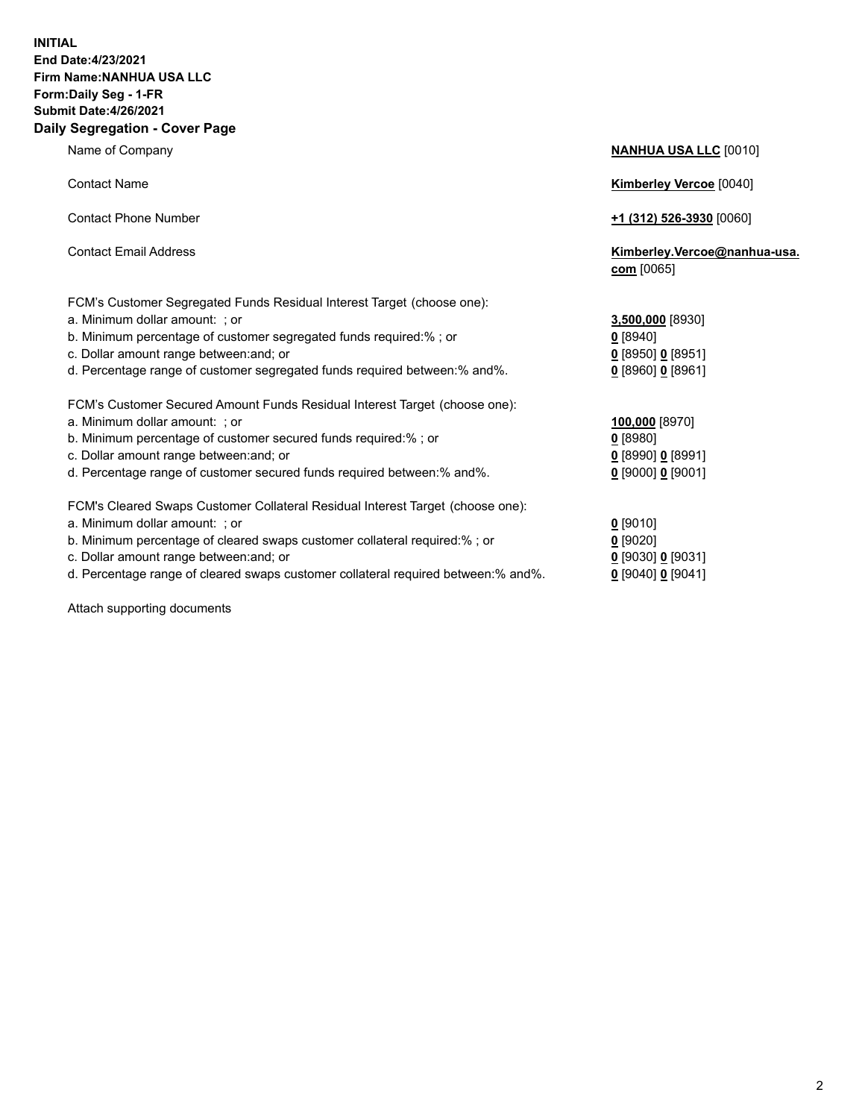## **INITIAL End Date:4/23/2021 Firm Name:NANHUA USA LLC Form:Daily Seg - 1-FR Submit Date:4/26/2021 Daily Segregation - Cover Page**

Name of Company **NANHUA USA LLC** [0010] Contact Name **Kimberley Vercoe** [0040] Contact Phone Number **+1 (312) 526-3930** [0060] Contact Email Address **Kimberley.Vercoe@nanhua-usa. com** [0065] FCM's Customer Segregated Funds Residual Interest Target (choose one): a. Minimum dollar amount: ; or **3,500,000** [8930] b. Minimum percentage of customer segregated funds required:% ; or **0** [8940] c. Dollar amount range between:and; or **0** [8950] **0** [8951] d. Percentage range of customer segregated funds required between:% and%. **0** [8960] **0** [8961] FCM's Customer Secured Amount Funds Residual Interest Target (choose one): a. Minimum dollar amount: ; or **100,000** [8970] b. Minimum percentage of customer secured funds required:% ; or **0** [8980] c. Dollar amount range between:and; or **0** [8990] **0** [8991] d. Percentage range of customer secured funds required between:% and%. **0** [9000] **0** [9001] FCM's Cleared Swaps Customer Collateral Residual Interest Target (choose one): a. Minimum dollar amount: ; or **0** [9010] b. Minimum percentage of cleared swaps customer collateral required:% ; or **0** [9020]

- 
- d. Percentage range of cleared swaps customer collateral required between:% and%. **0** [9040] **0** [9041]

Attach supporting documents

| $0$ [8950] 0 [8951] |               |
|---------------------|---------------|
| $0$ [8960] 0 [8961] |               |
|                     |               |
| 100,000 [8970]      |               |
| $0$ [8980]          |               |
| $0$ [8990] 0 [8991] |               |
| $0$ [9000] 0 [9001] |               |
|                     |               |
| $0$ [9010]          |               |
| $0$ [9020]          |               |
| 0 [9030] 0 [9031]   |               |
|                     | $0.100 + 0.1$ |

2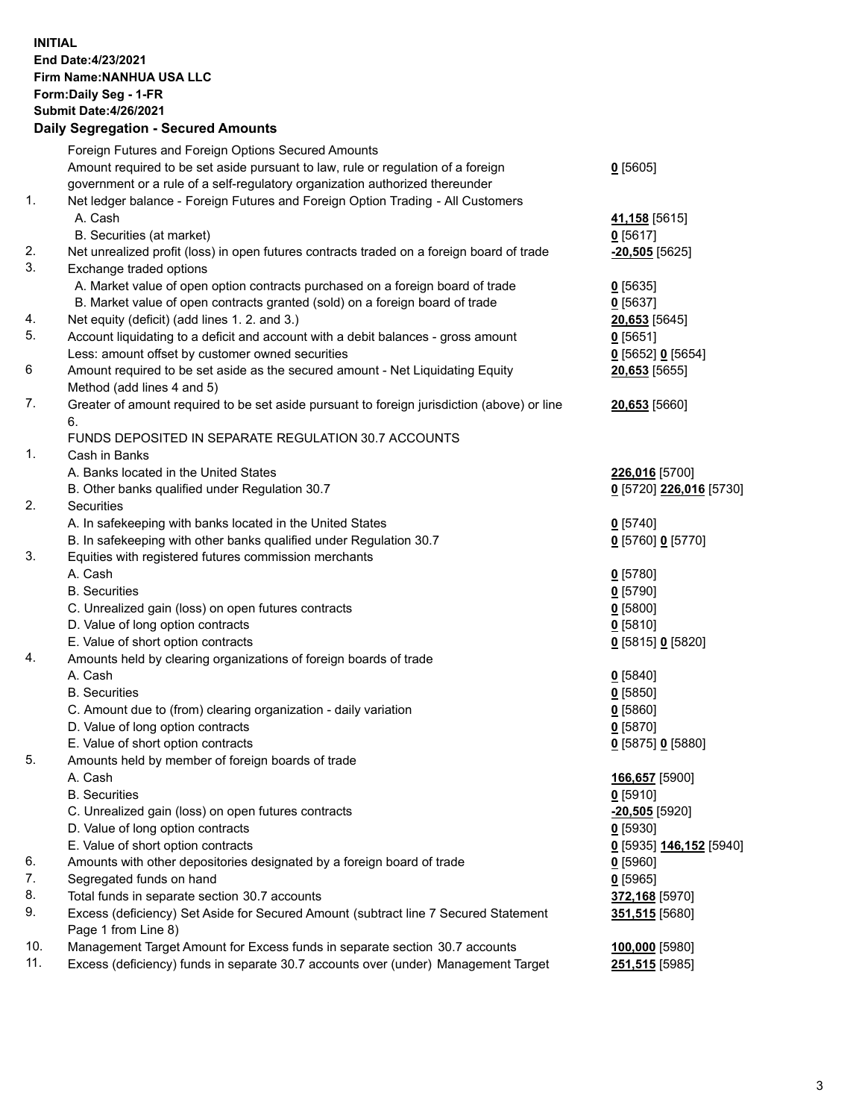## **INITIAL End Date:4/23/2021 Firm Name:NANHUA USA LLC Form:Daily Seg - 1-FR Submit Date:4/26/2021 Daily Segregation - Secured Amounts**

|     | Foreign Futures and Foreign Options Secured Amounts                                         |                         |
|-----|---------------------------------------------------------------------------------------------|-------------------------|
|     | Amount required to be set aside pursuant to law, rule or regulation of a foreign            | $0$ [5605]              |
|     | government or a rule of a self-regulatory organization authorized thereunder                |                         |
| 1.  | Net ledger balance - Foreign Futures and Foreign Option Trading - All Customers             |                         |
|     | A. Cash                                                                                     | 41,158 [5615]           |
|     | B. Securities (at market)                                                                   | $0$ [5617]              |
| 2.  | Net unrealized profit (loss) in open futures contracts traded on a foreign board of trade   | $-20,505$ [5625]        |
| 3.  | Exchange traded options                                                                     |                         |
|     | A. Market value of open option contracts purchased on a foreign board of trade              | $0$ [5635]              |
|     | B. Market value of open contracts granted (sold) on a foreign board of trade                | $0$ [5637]              |
| 4.  | Net equity (deficit) (add lines 1. 2. and 3.)                                               | 20,653 [5645]           |
| 5.  | Account liquidating to a deficit and account with a debit balances - gross amount           | $0$ [5651]              |
|     | Less: amount offset by customer owned securities                                            | 0 [5652] 0 [5654]       |
| 6   | Amount required to be set aside as the secured amount - Net Liquidating Equity              | 20,653 [5655]           |
|     | Method (add lines 4 and 5)                                                                  |                         |
| 7.  | Greater of amount required to be set aside pursuant to foreign jurisdiction (above) or line | 20,653 [5660]           |
|     | 6.                                                                                          |                         |
|     | FUNDS DEPOSITED IN SEPARATE REGULATION 30.7 ACCOUNTS                                        |                         |
| 1.  | Cash in Banks                                                                               |                         |
|     | A. Banks located in the United States                                                       | 226,016 [5700]          |
|     | B. Other banks qualified under Regulation 30.7                                              | 0 [5720] 226,016 [5730] |
| 2.  | Securities                                                                                  |                         |
|     | A. In safekeeping with banks located in the United States                                   | $0$ [5740]              |
|     | B. In safekeeping with other banks qualified under Regulation 30.7                          | 0 [5760] 0 [5770]       |
| 3.  | Equities with registered futures commission merchants                                       |                         |
|     | A. Cash                                                                                     | $0$ [5780]              |
|     | <b>B.</b> Securities                                                                        | $0$ [5790]              |
|     | C. Unrealized gain (loss) on open futures contracts                                         | $0$ [5800]              |
|     | D. Value of long option contracts                                                           | $0$ [5810]              |
|     | E. Value of short option contracts                                                          | 0 [5815] 0 [5820]       |
| 4.  | Amounts held by clearing organizations of foreign boards of trade                           |                         |
|     | A. Cash                                                                                     | $0$ [5840]              |
|     | <b>B.</b> Securities                                                                        | $0$ [5850]              |
|     | C. Amount due to (from) clearing organization - daily variation                             | $0$ [5860]              |
|     | D. Value of long option contracts                                                           | $0$ [5870]              |
|     | E. Value of short option contracts                                                          | 0 [5875] 0 [5880]       |
| 5.  | Amounts held by member of foreign boards of trade                                           |                         |
|     | A. Cash                                                                                     | 166,657 [5900]          |
|     | <b>B.</b> Securities                                                                        | 0[5910]                 |
|     | C. Unrealized gain (loss) on open futures contracts                                         | $-20,505$ [5920]        |
|     | D. Value of long option contracts                                                           | $0$ [5930]              |
|     | E. Value of short option contracts                                                          | 0 [5935] 146,152 [5940] |
| 6.  | Amounts with other depositories designated by a foreign board of trade                      | <u>0</u> [5960]         |
| 7.  | Segregated funds on hand                                                                    | $0$ [5965]              |
| 8.  | Total funds in separate section 30.7 accounts                                               | 372,168 [5970]          |
| 9.  | Excess (deficiency) Set Aside for Secured Amount (subtract line 7 Secured Statement         | 351,515 [5680]          |
|     | Page 1 from Line 8)                                                                         |                         |
| 10. | Management Target Amount for Excess funds in separate section 30.7 accounts                 | 100,000 [5980]          |
| 11. | Excess (deficiency) funds in separate 30.7 accounts over (under) Management Target          | 251,515 [5985]          |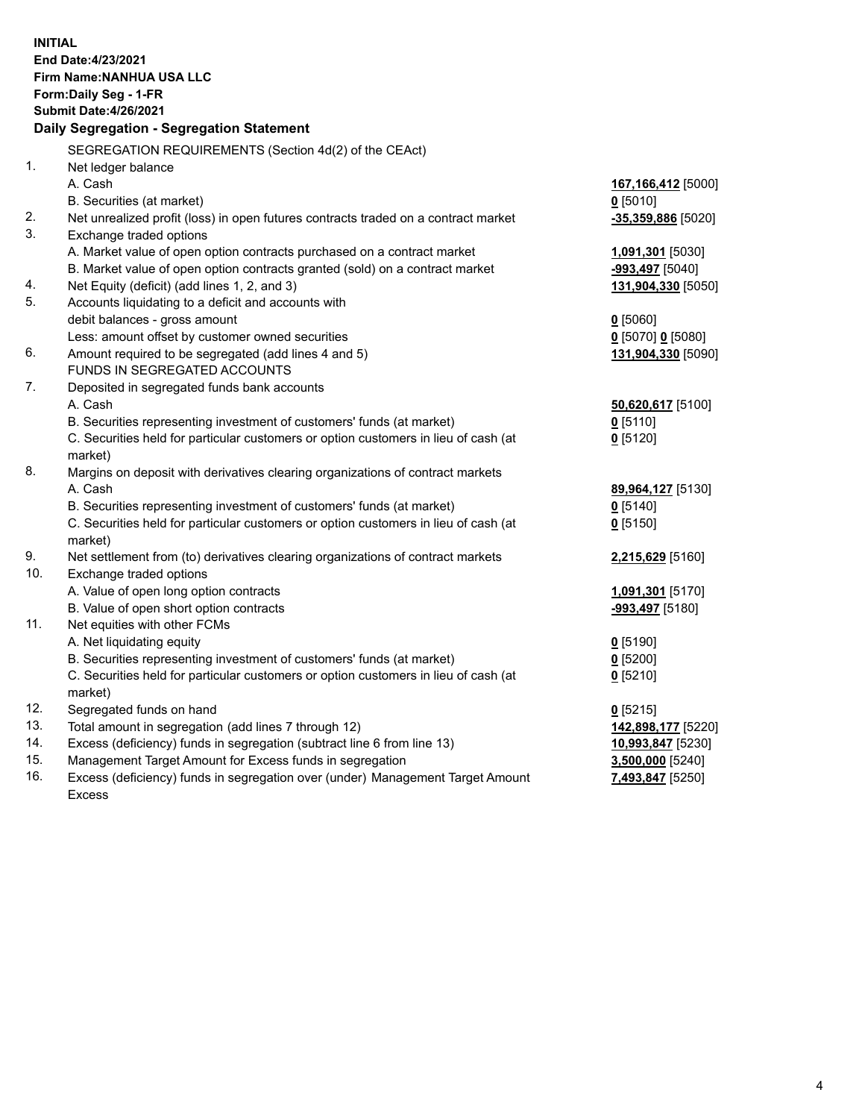| <b>INITIAL</b> | End Date: 4/23/2021<br><b>Firm Name: NANHUA USA LLC</b><br>Form: Daily Seg - 1-FR<br><b>Submit Date: 4/26/2021</b><br>Daily Segregation - Segregation Statement |                                         |
|----------------|-----------------------------------------------------------------------------------------------------------------------------------------------------------------|-----------------------------------------|
|                | SEGREGATION REQUIREMENTS (Section 4d(2) of the CEAct)                                                                                                           |                                         |
| 1 <sub>1</sub> | Net ledger balance                                                                                                                                              |                                         |
|                | A. Cash                                                                                                                                                         | 167,166,412 [5000]                      |
| 2.             | B. Securities (at market)<br>Net unrealized profit (loss) in open futures contracts traded on a contract market                                                 | $0$ [5010]<br>$-35,359,886$ [5020]      |
| 3.             | Exchange traded options                                                                                                                                         |                                         |
|                | A. Market value of open option contracts purchased on a contract market                                                                                         | 1,091,301 [5030]                        |
|                | B. Market value of open option contracts granted (sold) on a contract market                                                                                    | <u>-993,497</u> [5040]                  |
| 4.             | Net Equity (deficit) (add lines 1, 2, and 3)                                                                                                                    | 131,904,330 [5050]                      |
| 5.             | Accounts liquidating to a deficit and accounts with                                                                                                             |                                         |
|                | debit balances - gross amount                                                                                                                                   | $0$ [5060]                              |
|                | Less: amount offset by customer owned securities                                                                                                                | 0 [5070] 0 [5080]                       |
| 6.             | Amount required to be segregated (add lines 4 and 5)                                                                                                            | 131,904,330 [5090]                      |
|                | FUNDS IN SEGREGATED ACCOUNTS                                                                                                                                    |                                         |
| 7.             | Deposited in segregated funds bank accounts                                                                                                                     |                                         |
|                | A. Cash                                                                                                                                                         | 50,620,617 [5100]                       |
|                | B. Securities representing investment of customers' funds (at market)                                                                                           | $0$ [5110]                              |
|                | C. Securities held for particular customers or option customers in lieu of cash (at                                                                             | $0$ [5120]                              |
| 8.             | market)                                                                                                                                                         |                                         |
|                | Margins on deposit with derivatives clearing organizations of contract markets<br>A. Cash                                                                       | 89,964,127 [5130]                       |
|                | B. Securities representing investment of customers' funds (at market)                                                                                           | $0$ [5140]                              |
|                | C. Securities held for particular customers or option customers in lieu of cash (at                                                                             | $0$ [5150]                              |
|                | market)                                                                                                                                                         |                                         |
| 9.             | Net settlement from (to) derivatives clearing organizations of contract markets                                                                                 | 2,215,629 [5160]                        |
| 10.            | Exchange traded options                                                                                                                                         |                                         |
|                | A. Value of open long option contracts                                                                                                                          | 1,091,301 [5170]                        |
|                | B. Value of open short option contracts                                                                                                                         | -993,497 [5180]                         |
| 11.            | Net equities with other FCMs                                                                                                                                    |                                         |
|                | A. Net liquidating equity                                                                                                                                       | $0$ [5190]                              |
|                | B. Securities representing investment of customers' funds (at market)                                                                                           | $0$ [5200]                              |
|                | C. Securities held for particular customers or option customers in lieu of cash (at                                                                             | $0$ [5210]                              |
|                | market)                                                                                                                                                         |                                         |
| 12.<br>13.     | Segregated funds on hand<br>Total amount in segregation (add lines 7 through 12)                                                                                | $0$ [5215]                              |
| 14.            | Excess (deficiency) funds in segregation (subtract line 6 from line 13)                                                                                         | 142,898,177 [5220]<br>10,993,847 [5230] |
| 15.            | Management Target Amount for Excess funds in segregation                                                                                                        | 3,500,000 [5240]                        |
| 16.            | Excess (deficiency) funds in segregation over (under) Management Target Amount                                                                                  | 7,493,847 [5250]                        |
|                | <b>Excess</b>                                                                                                                                                   |                                         |